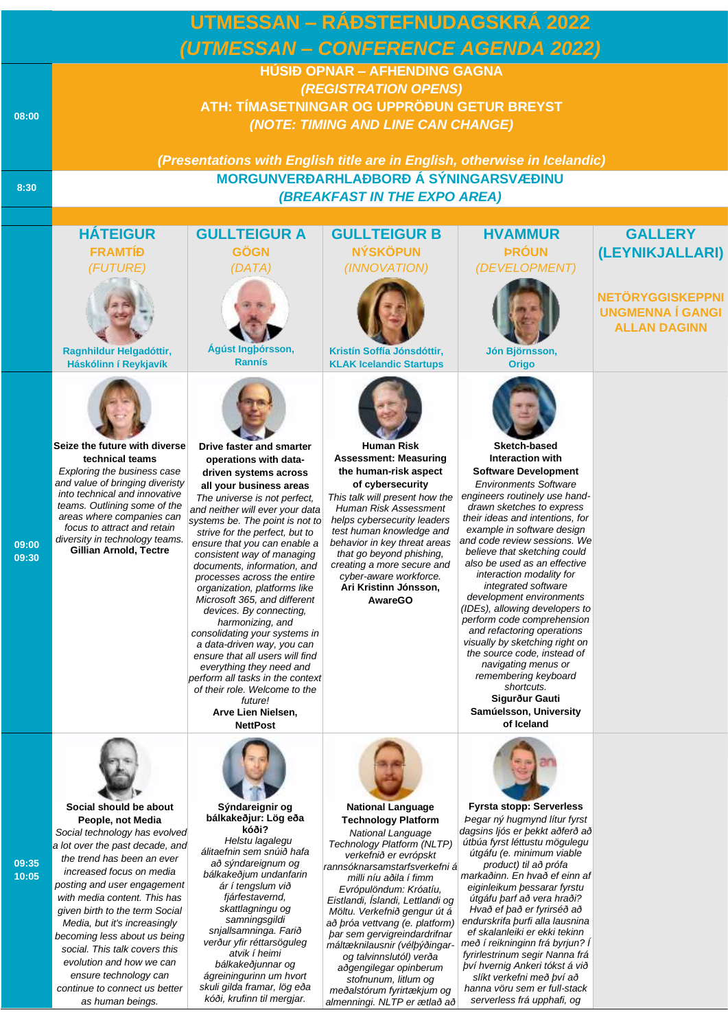| UTMESSAN – RÁÐSTEFNUDAGSKRÁ 2022 |                                                                                                                                                                                                                                                                                                                                                                                                                                                                                       |                                                                                                                                                                                                                                                                                                                                                                                                                                                                                                                                                                                                                                                                                                                                                 |                                                                                                                                                                                                                                                                                                                                                                                                                                                                                                                                           |                                                                                                                                                                                                                                                                                                                                                                                                                                                                                                                                                                                                                                                                                                     |                                                                           |  |  |  |
|----------------------------------|---------------------------------------------------------------------------------------------------------------------------------------------------------------------------------------------------------------------------------------------------------------------------------------------------------------------------------------------------------------------------------------------------------------------------------------------------------------------------------------|-------------------------------------------------------------------------------------------------------------------------------------------------------------------------------------------------------------------------------------------------------------------------------------------------------------------------------------------------------------------------------------------------------------------------------------------------------------------------------------------------------------------------------------------------------------------------------------------------------------------------------------------------------------------------------------------------------------------------------------------------|-------------------------------------------------------------------------------------------------------------------------------------------------------------------------------------------------------------------------------------------------------------------------------------------------------------------------------------------------------------------------------------------------------------------------------------------------------------------------------------------------------------------------------------------|-----------------------------------------------------------------------------------------------------------------------------------------------------------------------------------------------------------------------------------------------------------------------------------------------------------------------------------------------------------------------------------------------------------------------------------------------------------------------------------------------------------------------------------------------------------------------------------------------------------------------------------------------------------------------------------------------------|---------------------------------------------------------------------------|--|--|--|
|                                  |                                                                                                                                                                                                                                                                                                                                                                                                                                                                                       |                                                                                                                                                                                                                                                                                                                                                                                                                                                                                                                                                                                                                                                                                                                                                 |                                                                                                                                                                                                                                                                                                                                                                                                                                                                                                                                           |                                                                                                                                                                                                                                                                                                                                                                                                                                                                                                                                                                                                                                                                                                     |                                                                           |  |  |  |
|                                  | (UTMESSAN - CONFERENCE AGENDA 2022)<br><b>HÚSIÐ OPNAR - AFHENDING GAGNA</b>                                                                                                                                                                                                                                                                                                                                                                                                           |                                                                                                                                                                                                                                                                                                                                                                                                                                                                                                                                                                                                                                                                                                                                                 |                                                                                                                                                                                                                                                                                                                                                                                                                                                                                                                                           |                                                                                                                                                                                                                                                                                                                                                                                                                                                                                                                                                                                                                                                                                                     |                                                                           |  |  |  |
|                                  |                                                                                                                                                                                                                                                                                                                                                                                                                                                                                       |                                                                                                                                                                                                                                                                                                                                                                                                                                                                                                                                                                                                                                                                                                                                                 | (REGISTRATION OPENS)                                                                                                                                                                                                                                                                                                                                                                                                                                                                                                                      |                                                                                                                                                                                                                                                                                                                                                                                                                                                                                                                                                                                                                                                                                                     |                                                                           |  |  |  |
|                                  | ATH: TÍMASETNINGAR OG UPPRÖÐUN GETUR BREYST                                                                                                                                                                                                                                                                                                                                                                                                                                           |                                                                                                                                                                                                                                                                                                                                                                                                                                                                                                                                                                                                                                                                                                                                                 |                                                                                                                                                                                                                                                                                                                                                                                                                                                                                                                                           |                                                                                                                                                                                                                                                                                                                                                                                                                                                                                                                                                                                                                                                                                                     |                                                                           |  |  |  |
| 08:00                            |                                                                                                                                                                                                                                                                                                                                                                                                                                                                                       |                                                                                                                                                                                                                                                                                                                                                                                                                                                                                                                                                                                                                                                                                                                                                 | (NOTE: TIMING AND LINE CAN CHANGE)                                                                                                                                                                                                                                                                                                                                                                                                                                                                                                        |                                                                                                                                                                                                                                                                                                                                                                                                                                                                                                                                                                                                                                                                                                     |                                                                           |  |  |  |
|                                  |                                                                                                                                                                                                                                                                                                                                                                                                                                                                                       |                                                                                                                                                                                                                                                                                                                                                                                                                                                                                                                                                                                                                                                                                                                                                 |                                                                                                                                                                                                                                                                                                                                                                                                                                                                                                                                           |                                                                                                                                                                                                                                                                                                                                                                                                                                                                                                                                                                                                                                                                                                     |                                                                           |  |  |  |
|                                  |                                                                                                                                                                                                                                                                                                                                                                                                                                                                                       | (Presentations with English title are in English, otherwise in Icelandic)                                                                                                                                                                                                                                                                                                                                                                                                                                                                                                                                                                                                                                                                       |                                                                                                                                                                                                                                                                                                                                                                                                                                                                                                                                           |                                                                                                                                                                                                                                                                                                                                                                                                                                                                                                                                                                                                                                                                                                     |                                                                           |  |  |  |
| 8:30                             |                                                                                                                                                                                                                                                                                                                                                                                                                                                                                       |                                                                                                                                                                                                                                                                                                                                                                                                                                                                                                                                                                                                                                                                                                                                                 | MORGUNVERÐARHLAÐBORÐ Á SÝNINGARSVÆÐINU                                                                                                                                                                                                                                                                                                                                                                                                                                                                                                    |                                                                                                                                                                                                                                                                                                                                                                                                                                                                                                                                                                                                                                                                                                     |                                                                           |  |  |  |
|                                  | <b>(BREAKFAST IN THE EXPO AREA)</b>                                                                                                                                                                                                                                                                                                                                                                                                                                                   |                                                                                                                                                                                                                                                                                                                                                                                                                                                                                                                                                                                                                                                                                                                                                 |                                                                                                                                                                                                                                                                                                                                                                                                                                                                                                                                           |                                                                                                                                                                                                                                                                                                                                                                                                                                                                                                                                                                                                                                                                                                     |                                                                           |  |  |  |
|                                  | <b>HÁTEIGUR</b>                                                                                                                                                                                                                                                                                                                                                                                                                                                                       | <b>GULLTEIGUR A</b>                                                                                                                                                                                                                                                                                                                                                                                                                                                                                                                                                                                                                                                                                                                             | <b>GULLTEIGUR B</b>                                                                                                                                                                                                                                                                                                                                                                                                                                                                                                                       | <b>HVAMMUR</b>                                                                                                                                                                                                                                                                                                                                                                                                                                                                                                                                                                                                                                                                                      | <b>GALLERY</b>                                                            |  |  |  |
|                                  | <b>FRAMTÍĐ</b>                                                                                                                                                                                                                                                                                                                                                                                                                                                                        | <b>GÖGN</b>                                                                                                                                                                                                                                                                                                                                                                                                                                                                                                                                                                                                                                                                                                                                     | <b>NÝSKÖPUN</b>                                                                                                                                                                                                                                                                                                                                                                                                                                                                                                                           | <b>PRÓUN</b>                                                                                                                                                                                                                                                                                                                                                                                                                                                                                                                                                                                                                                                                                        | (LEYNIKJALLARI)                                                           |  |  |  |
|                                  | (FUTURE)                                                                                                                                                                                                                                                                                                                                                                                                                                                                              | (DATA)                                                                                                                                                                                                                                                                                                                                                                                                                                                                                                                                                                                                                                                                                                                                          | (INNOVATION)                                                                                                                                                                                                                                                                                                                                                                                                                                                                                                                              | (DEVELOPMENT)                                                                                                                                                                                                                                                                                                                                                                                                                                                                                                                                                                                                                                                                                       |                                                                           |  |  |  |
|                                  | Ragnhildur Helgadóttir,<br>Háskólinn í Reykjavík                                                                                                                                                                                                                                                                                                                                                                                                                                      | Ágúst Ingþórsson,<br><b>Rannís</b>                                                                                                                                                                                                                                                                                                                                                                                                                                                                                                                                                                                                                                                                                                              | Kristín Soffía Jónsdóttir,<br><b>KLAK Icelandic Startups</b>                                                                                                                                                                                                                                                                                                                                                                                                                                                                              | Jón Björnsson,<br><b>Origo</b>                                                                                                                                                                                                                                                                                                                                                                                                                                                                                                                                                                                                                                                                      | <b>NETÖRYGGISKEPPNI</b><br><b>UNGMENNA Í GANGI</b><br><b>ALLAN DAGINN</b> |  |  |  |
| 09:00<br>09:30                   | Seize the future with diverse<br>technical teams<br>Exploring the business case<br>and value of bringing diveristy<br>into technical and innovative<br>teams. Outlining some of the<br>areas where companies can<br>focus to attract and retain<br>diversity in technology teams.<br>Gillian Arnold, Tectre                                                                                                                                                                           | Drive faster and smarter<br>operations with data-<br>driven systems across<br>all your business areas<br>The universe is not perfect,<br>and neither will ever your data<br>systems be. The point is not to<br>strive for the perfect, but to<br>ensure that you can enable a<br>consistent way of managing<br>documents, information, and<br>processes across the entire<br>organization, platforms like<br>Microsoft 365, and different<br>devices. By connecting,<br>harmonizing, and<br>consolidating your systems in<br>a data-driven way, you can<br>ensure that all users will find<br>everything they need and<br>perform all tasks in the context<br>of their role. Welcome to the<br>future!<br>Arve Lien Nielsen,<br><b>NettPost</b> | <b>Human Risk</b><br><b>Assessment: Measuring</b><br>the human-risk aspect<br>of cybersecurity<br>This talk will present how the<br>Human Risk Assessment<br>helps cybersecurity leaders<br>test human knowledge and<br>behavior in key threat areas<br>that go beyond phishing,<br>creating a more secure and<br>cyber-aware workforce.<br>Ari Kristinn Jónsson,<br><b>AwareGO</b>                                                                                                                                                       | Sketch-based<br>Interaction with<br><b>Software Development</b><br><b>Environments Software</b><br>engineers routinely use hand-<br>drawn sketches to express<br>their ideas and intentions, for<br>example in software design<br>and code review sessions. We<br>believe that sketching could<br>also be used as an effective<br>interaction modality for<br>integrated software<br>development environments<br>(IDEs), allowing developers to<br>perform code comprehension<br>and refactoring operations<br>visually by sketching right on<br>the source code, instead of<br>navigating menus or<br>remembering keyboard<br>shortcuts.<br>Sigurður Gauti<br>Samúelsson, University<br>of Iceland |                                                                           |  |  |  |
| 09:35<br>10:05                   | Social should be about<br>People, not Media<br>Social technology has evolved<br>a lot over the past decade, and<br>the trend has been an ever<br>increased focus on media<br>posting and user engagement<br>with media content. This has<br>given birth to the term Social<br>Media, but it's increasingly<br>becoming less about us being<br>social. This talk covers this<br>evolution and how we can<br>ensure technology can<br>continue to connect us better<br>as human beings. | Sýndareignir og<br>bálkakeðjur: Lög eða<br>kóði?<br>Helstu lagalegu<br>álitaefnin sem snúið hafa<br>að sýndareignum og<br>bálkakeðjum undanfarin<br>ár í tengslum við<br>fjárfestavernd,<br>skattlagningu og<br>samningsgildi<br>snjallsamninga. Farið<br>verður yfir réttarsöguleg<br>atvik í heimi<br>bálkakeðjunnar og<br>ágreiningurinn um hvort<br>skuli gilda framar, lög eða<br>kóði, krufinn til mergjar.                                                                                                                                                                                                                                                                                                                               | <b>National Language</b><br><b>Technology Platform</b><br>National Language<br>Technology Platform (NLTP)<br>verkefnið er evrópskt<br>rannsóknarsamstarfsverkefni á<br>milli níu aðila í fimm<br>Evrópulöndum: Króatíu,<br>Eistlandi, İslandi, Lettlandi og<br>Möltu. Verkefnið gengur út á<br>að þróa vettvang (e. platform)<br>bar sem gervigreindardrifnar<br>máltæknilausnir (vélþýðingar-<br>og talvinnslutól) verða<br>aðgengilegar opinberum<br>stofnunum, litlum og<br>meðalstórum fyrirtækjum og<br>almenningi. NLTP er ætlað að | <b>Fyrsta stopp: Serverless</b><br>Þegar ný hugmynd lítur fyrst<br>dagsins ljós er bekkt aðferð að<br>útbúa fyrst léttustu mögulegu<br>útgáfu (e. minimum viable<br>product) til að prófa<br>markaðinn. En hvað ef einn af<br>eiginleikum bessarar fyrstu<br>útgáfu þarf að vera hraði?<br>Hvað ef það er fyrirséð að<br>endurskrifa þurfi alla lausnina<br>ef skalanleiki er ekki tekinn<br>með í reikninginn frá byrjun? I<br>fyrirlestrinum segir Nanna frá<br>því hvernig Ankeri tókst á við<br>slíkt verkefni með því að<br>hanna vöru sem er full-stack<br>serverless frá upphafi, og                                                                                                         |                                                                           |  |  |  |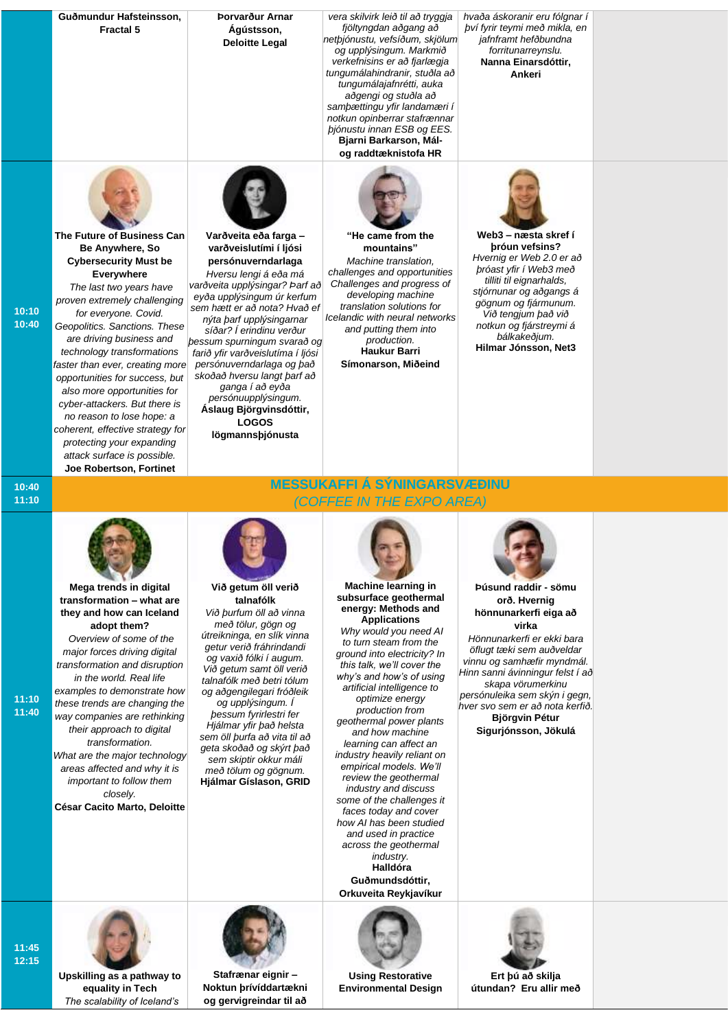|                | Guðmundur Hafsteinsson,<br><b>Fractal 5</b>                                                                                                                                                                                                                                                                                                                                                                                                                                                                    | Þorvarður Arnar<br>Ágústsson,<br><b>Deloitte Legal</b>                                                                                                                                                                                                                                                                                                                                                                                                                         | vera skilvirk leið til að tryggja<br>fjöltyngdan aðgang að<br>netþjónustu, vefsíðum, skjölum<br>og upplýsingum. Markmið<br>verkefnisins er að fjarlægja<br>tungumálahindranir, stuðla að<br>tungumálajafnrétti, auka<br>aðgengi og stuðla að<br>sampættingu yfir landamæri í<br>notkun opinberrar stafrænnar                                                                                                                                                                                                                                                                                                                                                                                                       | hvaða áskoranir eru fólgnar í<br>bví fyrir teymi með mikla, en<br>jafnframt hefðbundna<br>forritunarreynslu.<br>Nanna Einarsdóttir,<br>Ankeri                                                                                                                                                                                          |  |
|----------------|----------------------------------------------------------------------------------------------------------------------------------------------------------------------------------------------------------------------------------------------------------------------------------------------------------------------------------------------------------------------------------------------------------------------------------------------------------------------------------------------------------------|--------------------------------------------------------------------------------------------------------------------------------------------------------------------------------------------------------------------------------------------------------------------------------------------------------------------------------------------------------------------------------------------------------------------------------------------------------------------------------|--------------------------------------------------------------------------------------------------------------------------------------------------------------------------------------------------------------------------------------------------------------------------------------------------------------------------------------------------------------------------------------------------------------------------------------------------------------------------------------------------------------------------------------------------------------------------------------------------------------------------------------------------------------------------------------------------------------------|----------------------------------------------------------------------------------------------------------------------------------------------------------------------------------------------------------------------------------------------------------------------------------------------------------------------------------------|--|
|                | The Future of Business Can<br>Be Anywhere, So<br><b>Cybersecurity Must be</b><br>Everywhere<br>The last two years have<br>proven extremely challenging                                                                                                                                                                                                                                                                                                                                                         | Varðveita eða farga -<br>varðveislutími í ljósi<br>persónuverndarlaga<br>Hversu lengi á eða má<br>varðveita upplýsingar? Þarf að<br>eyða upplýsingum úr kerfum                                                                                                                                                                                                                                                                                                                 | bjónustu innan ESB og EES.<br>Bjarni Barkarson, Mál-<br>og raddtæknistofa HR<br>"He came from the<br>mountains"<br>Machine translation,<br>challenges and opportunities<br>Challenges and progress of<br>developing machine                                                                                                                                                                                                                                                                                                                                                                                                                                                                                        | Web3 - næsta skref í<br>bróun vefsins?<br>Hvernig er Web 2.0 er að<br>bróast yfir í Web3 með<br>tilliti til eignarhalds,<br>stjórnunar og aðgangs á                                                                                                                                                                                    |  |
| 10:10<br>10:40 | for everyone. Covid.<br>Geopolitics. Sanctions. These<br>are driving business and<br>technology transformations<br>faster than ever, creating more<br>opportunities for success, but<br>also more opportunities for<br>cyber-attackers. But there is<br>no reason to lose hope: a<br>coherent, effective strategy for<br>protecting your expanding<br>attack surface is possible.<br>Joe Robertson, Fortinet                                                                                                   | sem hætt er að nota? Hvað ef<br>nýta þarf upplýsingarnar<br>síðar? Í erindinu verður<br>bessum spurningum svarað og<br>farið yfir varðveislutíma í ljósi<br>persónuverndarlaga og það<br>skoðað hversu langt þarf að<br>ganga í að eyða<br>persónuupplýsingum.<br>Áslaug Björgvinsdóttir,<br><b>LOGOS</b><br>lögmannsþjónusta                                                                                                                                                  | translation solutions for<br>Icelandic with neural networks<br>and putting them into<br>production.<br>Haukur Barri<br>Símonarson, Miðeind                                                                                                                                                                                                                                                                                                                                                                                                                                                                                                                                                                         | gögnum og fjármunum.<br>Við tengjum það við<br>notkun og fjárstreymi á<br>bálkakeðjum.<br>Hilmar Jónsson, Net3                                                                                                                                                                                                                         |  |
| 10:40<br>11:10 |                                                                                                                                                                                                                                                                                                                                                                                                                                                                                                                |                                                                                                                                                                                                                                                                                                                                                                                                                                                                                | <u>MESSUKAFFI Á SÝNINGARSVÆÐINU</u><br>(COFFEE IN THE EXPO AREA)                                                                                                                                                                                                                                                                                                                                                                                                                                                                                                                                                                                                                                                   |                                                                                                                                                                                                                                                                                                                                        |  |
| 11:10<br>11:40 | Mega trends in digital<br>transformation - what are<br>they and how can Iceland<br>adopt them?<br>Overview of some of the<br>major forces driving digital<br>transformation and disruption<br>in the world. Real life<br>examples to demonstrate how<br>these trends are changing the<br>way companies are rethinking<br>their approach to digital<br>transformation.<br>What are the major technology<br>areas affected and why it is<br>important to follow them<br>closely.<br>César Cacito Marto, Deloitte | Við getum öll verið<br>talnafólk<br>Við þurfum öll að vinna<br>með tölur, gögn og<br>útreikninga, en slík vinna<br>getur verið fráhrindandi<br>og vaxið fólki í augum.<br>Við getum samt öll verið<br>talnafólk með betri tólum<br>og aðgengilegari fróðleik<br>og upplýsingum. Í<br>bessum fyrirlestri fer<br>Hjálmar yfir það helsta<br>sem öll þurfa að vita til að<br>geta skoðað og skýrt það<br>sem skiptir okkur máli<br>með tölum og gögnum.<br>Hjálmar Gíslason, GRID | <b>Machine learning in</b><br>subsurface geothermal<br>energy: Methods and<br><b>Applications</b><br>Why would you need AI<br>to turn steam from the<br>ground into electricity? In<br>this talk, we'll cover the<br>why's and how's of using<br>artificial intelligence to<br>optimize energy<br>production from<br>geothermal power plants<br>and how machine<br>learning can affect an<br>industry heavily reliant on<br>empirical models. We'll<br>review the geothermal<br>industry and discuss<br>some of the challenges it<br>faces today and cover<br>how AI has been studied<br>and used in practice<br>across the geothermal<br><i>industry.</i><br>Halldóra<br>Guðmundsdóttir,<br>Orkuveita Reykjavíkur | Þúsund raddir - sömu<br>orð. Hvernig<br>hönnunarkerfi eiga að<br>virka<br>Hönnunarkerfi er ekki bara<br>öflugt tæki sem auðveldar<br>vinnu og samhæfir myndmál.<br>Hinn sanni ávinningur felst í að<br>skapa vörumerkinu<br>persónuleika sem skýn i gegn,<br>hver svo sem er að nota kerfið.<br>Björgvin Pétur<br>Sigurjónsson, Jökulá |  |
| 11:45<br>12:15 | Upskilling as a pathway to<br>equality in Tech<br>The scalability of Iceland's                                                                                                                                                                                                                                                                                                                                                                                                                                 | Stafrænar eignir -<br>Noktun prívíddartækni<br>og gervigreindar til að                                                                                                                                                                                                                                                                                                                                                                                                         | <b>Using Restorative</b><br><b>Environmental Design</b>                                                                                                                                                                                                                                                                                                                                                                                                                                                                                                                                                                                                                                                            | Ert bú að skilja<br>útundan? Eru allir með                                                                                                                                                                                                                                                                                             |  |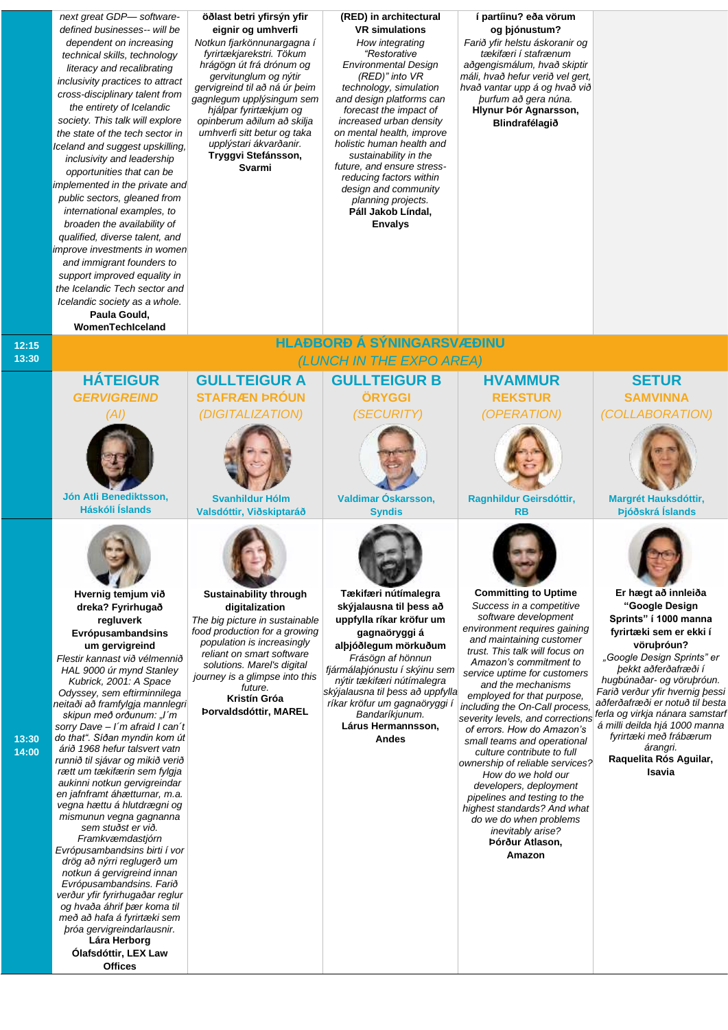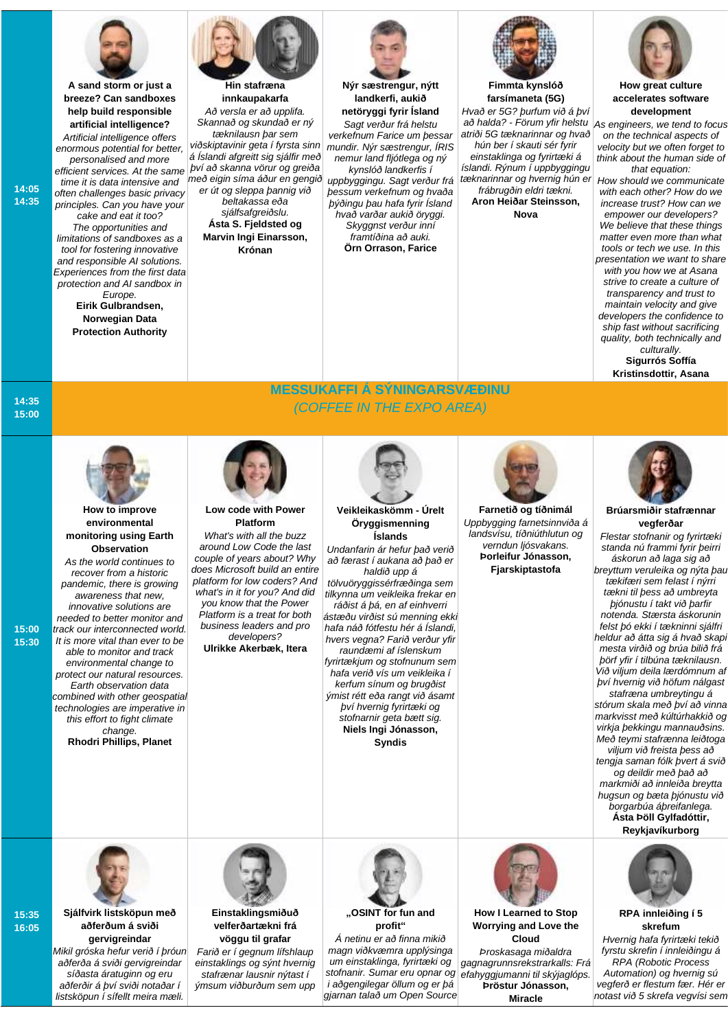

**A sand storm or just a breeze? Can sandboxes help build responsible artificial intelligence?**

*Artificial intelligence offers enormous potential for better, personalised and more efficient services. At the same time it is data intensive and often challenges basic privacy principles. Can you have your cake and eat it too? The opportunities and limitations of sandboxes as a tool for fostering innovative and responsible AI solutions. Experiences from the first data protection and AI sandbox in Europe.* **Eirik Gulbrandsen, Norwegian Data** 

**Protection Authority** 



**Hin stafræna innkaupakarfa**  *Að versla er að upplifa. Skannað og skundað er ný tæknilausn þar sem viðskiptavinir geta í fyrsta sinn á Íslandi afgreitt sig sjálfir með því að skanna vörur og greiða með eigin síma áður en gengið er út og sleppa þannig við beltakassa eða* 

*sjálfsafgreiðslu.* **Ásta S. Fjeldsted og Marvin Ingi Einarsson, Krónan**

**Low code with Power Platform** *What's with all the buzz around Low Code the last couple of years about? Why does Microsoft build an entire platform for low coders? And what's in it for you? And did you know that the Power Platform is a treat for both business leaders and pro developers?* **Ulrikke Akerbæk, Itera**



**Nýr sæstrengur, nýtt landkerfi, aukið netöryggi fyrir Ísland** 

*Sagt verður frá helstu verkefnum Farice um þessar mundir. Nýr sæstrengur, ÍRIS nemur land fljótlega og ný kynslóð landkerfis í* 

*uppbyggingu. Sagt verður frá þessum verkefnum og hvaða þýðingu þau hafa fyrir Ísland hvað varðar aukið öryggi. Skyggnst verður inní framtíðina að auki.* **Örn Orrason, Farice**



**Fimmta kynslóð farsímaneta (5G)** *Hvað er 5G? þurfum við á því að halda? - Förum yfir helstu atriði 5G tæknarinnar og hvað hún ber í skauti sér fyrir einstaklinga og fyrirtæki á íslandi. Rýnum í uppbyggingu tæknarinnar og hvernig hún er frábrugðin eldri tækni.* **Aron Heiðar Steinsson, Nova**



**How great culture accelerates software development**

*As engineers, we tend to focus on the technical aspects of velocity but we often forget to think about the human side of that equation:*

*How should we communicate with each other? How do we increase trust? How can we empower our developers? We believe that these things matter even more than what tools or tech we use. In this presentation we want to share with you how we at Asana strive to create a culture of transparency and trust to maintain velocity and give developers the confidence to ship fast without sacrificing quality, both technically and culturally.* **Sigurrós Soffía Kristinsdottir, Asana**

**14:35 15:00**

**15:00 15:30**

**15:35 16:05**

**14:05 14:35**



## **How to improve environmental monitoring using Earth Observation**

*As the world continues to recover from a historic pandemic, there is growing awareness that new, innovative solutions are needed to better monitor and track our interconnected world. It is more vital than ever to be able to monitor and track environmental change to protect our natural resources. Earth observation data combined with other geospatial technologies are imperative in this effort to fight climate change.* **Rhodri Phillips, Planet**

**MESSUKAFFI Á SÝNINGARSVÆÐINU** *(COFFEE IN THE EXPO AREA)*



## **Veikleikaskömm - Úrelt Öryggismenning Íslands**

*Undanfarin ár hefur það verið að færast í aukana að það er haldið upp á* 

*tölvuöryggissérfræðinga sem tilkynna um veikleika frekar en ráðist á þá, en af einhverri ástæðu virðist sú menning ekki hafa náð fótfestu hér á Íslandi, hvers vegna? Farið verður yfir raundæmi af íslenskum fyrirtækjum og stofnunum sem hafa verið vís um veikleika í kerfum sínum og brugðist ýmist rétt eða rangt við ásamt því hvernig fyrirtæki og stofnarnir geta bætt sig.* **Niels Ingi Jónasson, Syndis**



**Farnetið og tíðnimál** *Uppbygging farnetsinnviða á landsvísu, tíðniúthlutun og verndun ljósvakans.* **Þorleifur Jónasson, Fjarskiptastofa** 



**Brúarsmiðir stafrænnar vegferðar** *Flestar stofnanir og fyrirtæki standa nú frammi fyrir þeirri áskorun að laga sig að breyttum veruleika og nýta þau tækifæri sem felast í nýrri tækni til þess að umbreyta þjónustu í takt við þarfir notenda. Stærsta áskorunin felst þó ekki í tækninni sjálfri heldur að átta sig á hvað skapi* 

*mesta virðið og brúa bilið frá þörf yfir í tilbúna tæknilausn. Við viljum deila lærdómnum af því hvernig við höfum nálgast stafræna umbreytingu á* 

*stórum skala með því að vinna markvisst með kúltúrhakkið og virkja þekkingu mannauðsins. Með teymi stafrænna leiðtoga* 

*viljum við freista þess að tengja saman fólk þvert á svið og deildir með það að markmiði að innleiða breytta hugsun og bæta þjónustu við borgarbúa áþreifanlega.* **Ásta Þöll Gylfadóttir, Reykjavíkurborg**



**RPA innleiðing í 5 skrefum**

*Hvernig hafa fyrirtæki tekið fyrstu skrefin í innleiðingu á RPA (Robotic Process Automation) og hvernig sú vegferð er flestum fær. Hér er notast við 5 skrefa vegvísi sem* 



**Sjálfvirk listsköpun með aðferðum á sviði gervigreindar** *Mikil gróska hefur verið í þróun aðferða á sviði gervigreindar síðasta áratuginn og eru aðferðir á því sviði notaðar í listsköpun í sífellt meira mæli.* 



**velferðartækni frá vöggu til grafar** *Farið er í gegnum lífshlaup einstaklings og sýnt hvernig stafrænar lausnir nýtast í ýmsum viðburðum sem upp* 



**"OSINT for fun and profit"**

*Á netinu er að finna mikið magn viðkvæmra upplýsinga um einstaklinga, fyrirtæki og stofnanir. Sumar eru opnar og i aðgengilegar öllum og er þá gjarnan talað um Open Source* 



**How I Learned to Stop Worrying and Love the Cloud** *Þroskasaga miðaldra gagnagrunnsrekstrarkalls: Frá* 

*efahyggjumanni til skýjaglóps.* **Þröstur Jónasson,** 

**Miracle**